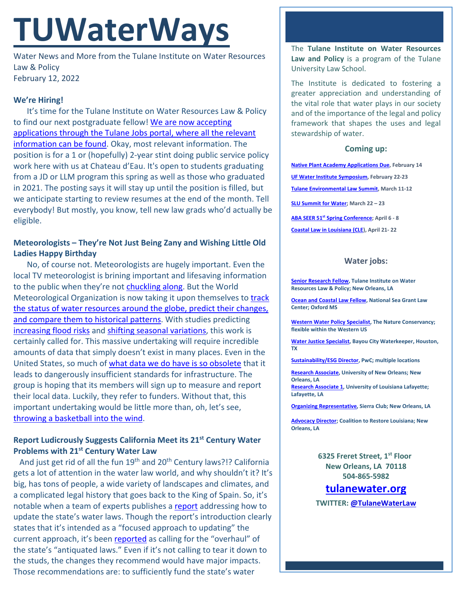# **TUWaterWays**

Water News and More from the Tulane Institute on Water Resources Law & Policy February 12, 2022

#### **We're Hiring!**

It's time for the Tulane Institute on Water Resources Law & Policy to find our next postgraduate fellow! [We are now accepting](https://jobs.tulane.edu/position/IRC22821)  [applications through the Tulane Jobs portal, where all the relevant](https://jobs.tulane.edu/position/IRC22821)  [information can be found.](https://jobs.tulane.edu/position/IRC22821) Okay, most relevant information. The position is for a 1 or (hopefully) 2-year stint doing public service policy work here with us at Chateau d'Eau. It's open to students graduating from a JD or LLM program this spring as well as those who graduated in 2021. The posting says it will stay up until the position is filled, but we anticipate starting to review resumes at the end of the month. Tell everybody! But mostly, you know, tell new law grads who'd actually be eligible.

### **Meteorologists – They're Not Just Being Zany and Wishing Little Old Ladies Happy Birthday**

No, of course not. Meteorologists are hugely important. Even the local TV meteorologist is brining important and lifesaving information to the public when they're not [chuckling along.](https://www.youtube.com/watch?v=-SQuMpmoZHo) But the World Meteorological Organization is now taking it upon themselves to [track](https://phys.org/news/2022-02-global-early-enable-availability.html)  the status of water resources around the globe, predict their changes, [and compare them to historical patterns.](https://phys.org/news/2022-02-global-early-enable-availability.html) With studies predicting [increasing flood risks](https://www.uea.ac.uk/news/-/article/rising-global-temperatures-spell-high-flood-risk-for-river-basins-c2-a0) and [shifting seasonal](https://www.usgs.gov/publications/streamflow-response-potential-changes-climate-upper-rio-grande-basin) variations, this work is certainly called for. This massive undertaking will require incredible amounts of data that simply doesn't exist in many places. Even in the United States, so much of [what data we do have is so obsolete](https://www.npr.org/2022/02/09/1078261183/an-unexpected-item-is-blocking-cities-climate-change-prep-obsolete-rainfall-reco) that it leads to dangerously insufficient standards for infrastructure. The group is hoping that its members will sign up to measure and report their local data. Luckily, they refer to funders. Without that, this important undertaking would be little more than, oh, let's see, [throwing a basketball into the wind.](https://youtu.be/bDgp3MkiPS8?t=135)

#### **Report Ludicrously Suggests California Meet its 21st Century Water Problems with 21st Century Water Law**

And just get rid of all the fun 19<sup>th</sup> and 20<sup>th</sup> Century laws?!? California gets a lot of attention in the water law world, and why shouldn't it? It's big, has tons of people, a wide variety of landscapes and climates, and a complicated legal history that goes back to the King of Spain. So, it's notable when a team of experts publishes a [report](https://www.pcl.org/media/2022/02/Updating-California-Water-Laws-to-Address-with-Drought-and-Climate-Change.pdf) addressing how to update the state's water laws. Though the report's introduction clearly states that it's intended as a "focused approach to updating" the current approach, it's been [reported](https://www.agriculture.com/news/business/experts-urge-overhaul-of-california-s-antiquated-water-laws) as calling for the "overhaul" of the state's "antiquated laws." Even if it's not calling to tear it down to the studs, the changes they recommend would have major impacts. Those recommendations are: to sufficiently fund the state's water

The **Tulane Institute on Water Resources Law and Policy** is a program of the Tulane University Law School.

The Institute is dedicated to fostering a greater appreciation and understanding of the vital role that water plays in our society and of the importance of the legal and policy framework that shapes the uses and legal stewardship of water.

#### **Coming up:**

**[Native Plant Academy Applications Due,](https://www.hcsnola.org/post/join-hcs-native-plant-academy) February 14 [UF Water Institute Symposium,](https://conference.ifas.ufl.edu/waterinstitute/) February 22-23 [Tulane Environmental Law Summit,](https://tulaneenvironmentallawsummit.com/) March 11-12 [SLU Summit for Water;](https://alumni.slu.edu/s/1264/17/interior.aspx?sid=1264&gid=1&pgid=7449&cid=11949&ecid=11949&authkey=1GIUG66MBlSRTyxOQXMX1ItgKKu8ZhdwPGDJbRDPxYcaqd4VyWh5xQ%3d%3d) March 22 – 23 ABA SEER 51st [Spring Conference;](https://web.cvent.com/event/ea6dee84-227d-4bf5-8ee7-4b12deb77aa5/summary) April 6 - 8 [Coastal Law in Louisiana \(CLE\)](https://www.theseminargroup.net/seminardetl.aspx?id=22.shrNO), April 21- 22**

#### **Water jobs:**

**[Senior Research Fellow,](https://jobs.tulane.edu/position/IRC22821) Tulane Institute on Water Resources Law & Policy; New Orleans, LA**

**[Ocean and Coastal Law Fellow,](https://careers.olemiss.edu/job/University-Law-Fellow%2C-Temporary-MS-38677/834883200/) National Sea Grant Law Center; Oxford MS**

**[Western Water Policy Specialist,](https://www.joshswaterjobs.com/jobs/125471/) The Nature Conservancy; flexible within the Western US**

**[Water Justice Specialist,](https://bayoucitywaterkeeper.org/wp-content/uploads/2022/01/Water-Justice-Specialist.pdf) Bayou City Waterkeeper, Houston, TX**

**[Sustainability/ESG Director,](https://jobs.us.pwc.com/job/-/-/932/8531402784?utm_source=linkedin.com&utm_campaign=core_media&utm_medium=social_media&utm_content=job_posting&ss=paid&dclid=CIHN-by5yvMCFUvrwAodK4kFqw) PwC; multiple locations**

**[Research Associate,](https://ulsuno.wd1.myworkdayjobs.com/en-US/UniversityOfNewOrleans/job/New-Orleans-La/Research-Associate-1_R-000365) University of New Orleans; New Orleans, LA [Research Associate 1,](https://louisiana.csod.com/ux/ats/careersite/1/home/requisition/1576?c=louisiana) University of Louisiana Lafayette; Lafayette, LA**

**[Organizing Representative,](https://phf.tbe.taleo.net/phf01/ats/careers/v2/viewRequisition?org=SIERRACLUB&cws=39&rid=1816) Sierra Club; New Orleans, LA**

**[Advocacy Director;](https://www.crcl.org/_files/ugd/d2b7de_8fd72f2538bb45fba446d0afeb90d7a0.pdf) Coalition to Restore Louisiana; New Orleans, LA**

> **6325 Freret Street, 1st Floor New Orleans, LA 70118 504-865-5982**

## **tulanewater.org**

**TWITTER: [@TulaneWaterLaw](http://www.twitter.com/TulaneWaterLaw)**